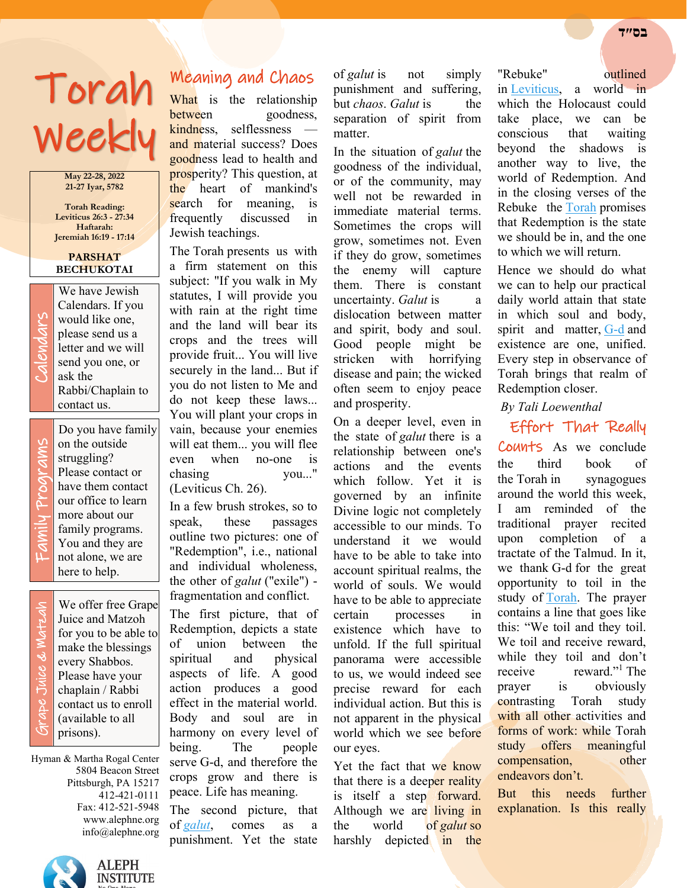# Torah Weekly

**May 22-28, 2022 21-27 Iyar, 5782**

**Torah Reading: Leviticus 26:3 - 27:34 Haftarah: Jeremiah 16:19 - 17:14**

#### **PARSHAT BECHUKOTAI**

We have Jewish<br>Calendars. If you<br>would like one,<br>please send us a<br>letter and we will<br>send you one, or<br>ask the Calendars. If you would like one, please send us a letter and we will send you one, or ask the Rabbi/Chaplain to contact us.

Family Programs rams Progl Famil

Do you have family on the outside struggling? Please contact or have them contact our office to learn more about our family programs. You and they are not alone, we are here to help.

 Grape Juice & Matzah ade Juice & Matzah

We offer free Grape Juice and Matzoh for you to be able to make the blessings every Shabbos. Please have your chaplain / Rabbi contact us to enroll (available to all prisons).

Hyman & Martha Rogal Center 5804 Beacon Street Pittsburgh, PA 15217 412-421-0111 Fax: 412-521-5948 www.alephne.org info@alephne.org



## Meaning and Chaos

What is the relationship between goodness, kindness, selflessness and material success? Does goodness lead to health and prosperity? This question, at the heart of mankind's search for meaning, is frequently discussed in Jewish teachings.

The Torah presents us with a firm statement on this subject: "If you walk in My statutes, I will provide you with rain at the right time and the land will bear its crops and the trees will provide fruit... You will live securely in the land... But if you do not listen to Me and do not keep these laws... You will plant your crops in vain, because your enemies will eat them... you will flee even when no-one is chasing you..." (Leviticus Ch. 26).

In a few brush strokes, so to speak, these passages outline two pictures: one of "Redemption", i.e., national and individual wholeness, the other of *galut* ("exile") fragmentation and conflict.

The first picture, that of Redemption, depicts a state of union between the spiritual and physical aspects of life. A good action produces a good effect in the material world. Body and soul are in harmony on every level of being. The people serve G-d, and therefore the crops grow and there is peace. Life has meaning.

The second picture, that of *[galut](https://www.chabad.org/library/article_cdo/aid/1069794/jewish/Why-Exile.htm)*, comes as a punishment. Yet the state

of *galut* is not simply punishment and suffering, but *chaos*. *Galut* is the separation of spirit from matter.

In the situation of *galut* the goodness of the individual, or of the community, may well not be rewarded in immediate material terms. Sometimes the crops will grow, sometimes not. Even if they do grow, sometimes the enemy will capture them. There is constant uncertainty. *Galut* is a dislocation between matter and spirit, body and soul. Good people might be stricken with horrifying disease and pain; the wicked often seem to enjoy peace and prosperity.

On a deeper level, even in the state of *galut* there is a relationship between one's actions and the events which follow. Yet it is governed by an infinite Divine logic not completely accessible to our minds. To understand it we would have to be able to take into account spiritual realms, the world of souls. We would have to be able to appreciate certain processes in existence which have to unfold. If the full spiritual panorama were accessible to us, we would indeed see precise reward for each individual action. But this is not apparent in the physical world which we see before our eyes.

Yet the fact that we know that there is a deeper reality is itself a step forward. Although we are living in the world of *galut* so harshly depicted in the

#### "Rebuke" outlined

in [Leviticus,](https://www.chabad.org/library/bible_cdo/aid/8162/jewish/Leviticus.htm) a world in which the Holocaust could take place, we can be conscious that waiting beyond the shadows is another way to live, the world of Redemption. And in the closing verses of the Rebuke the [Torah](https://www.chabad.org/library/article_cdo/aid/1426382/jewish/Torah.htm) promises that Redemption is the state we should be in, and the one to which we will return.

Hence we should do what we can to help our practical daily world attain that state in which soul and body, spirit and matter, [G-d](https://www.chabad.org/library/article_cdo/aid/433240/jewish/God.htm) and existence are one, unified. Every step in observance of Torah brings that realm of Redemption closer.

#### *By Tali Loewenthal*

Effort That Really Counts As we conclude the third book of the Torah in synagogues around the world this week, I am reminded of the traditional prayer recited upon completion of a tractate of the Talmud. In it, we thank G-d for the great opportunity to toil in the study of [Torah.](https://www.chabad.org/library/article_cdo/aid/1426382/jewish/Torah.htm) The prayer contains a line that goes like this: "We toil and they toil. We toil and receive reward, while they toil and don't receive reward."<sup>1</sup> The prayer is obviously contrasting Torah study with all other activities and forms of work: while Torah study offers meaningful compensation, other endeavors don't.

But this needs further explanation. Is this really